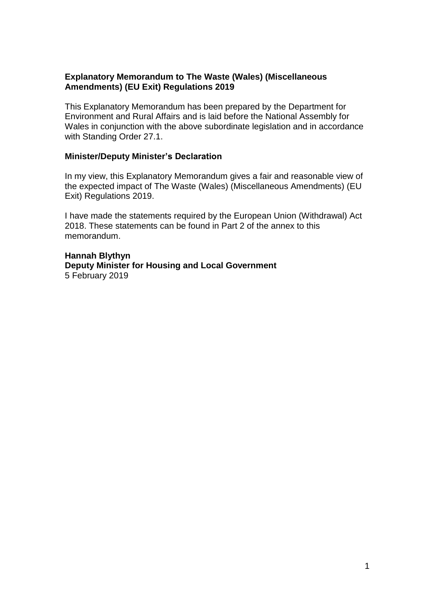#### **Explanatory Memorandum to The Waste (Wales) (Miscellaneous Amendments) (EU Exit) Regulations 2019**

This Explanatory Memorandum has been prepared by the Department for Environment and Rural Affairs and is laid before the National Assembly for Wales in conjunction with the above subordinate legislation and in accordance with Standing Order 27.1.

#### **Minister/Deputy Minister's Declaration**

In my view, this Explanatory Memorandum gives a fair and reasonable view of the expected impact of The Waste (Wales) (Miscellaneous Amendments) (EU Exit) Regulations 2019.

I have made the statements required by the European Union (Withdrawal) Act 2018. These statements can be found in Part 2 of the annex to this memorandum.

**Hannah Blythyn Deputy Minister for Housing and Local Government** 5 February 2019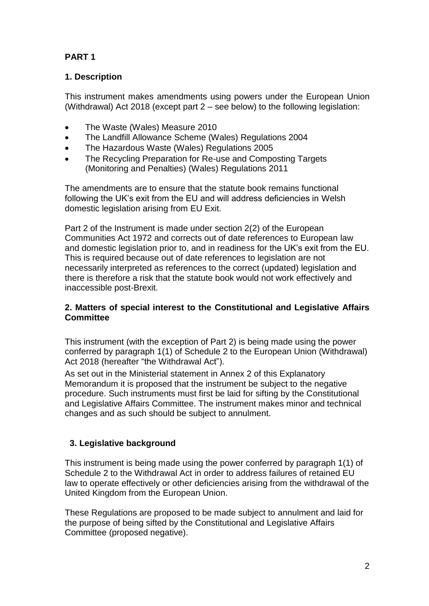# **PART 1**

## **1. Description**

This instrument makes amendments using powers under the European Union (Withdrawal) Act 2018 (except part 2 – see below) to the following legislation:

- The Waste (Wales) Measure 2010
- The Landfill Allowance Scheme (Wales) Regulations 2004
- The Hazardous Waste (Wales) Regulations 2005
- The Recycling Preparation for Re-use and Composting Targets (Monitoring and Penalties) (Wales) Regulations 2011

The amendments are to ensure that the statute book remains functional following the UK's exit from the EU and will address deficiencies in Welsh domestic legislation arising from EU Exit.

Part 2 of the Instrument is made under section 2(2) of the European Communities Act 1972 and corrects out of date references to European law and domestic legislation prior to, and in readiness for the UK's exit from the EU. This is required because out of date references to legislation are not necessarily interpreted as references to the correct (updated) legislation and there is therefore a risk that the statute book would not work effectively and inaccessible post-Brexit.

#### **2. Matters of special interest to the Constitutional and Legislative Affairs Committee**

This instrument (with the exception of Part 2) is being made using the power conferred by paragraph 1(1) of Schedule 2 to the European Union (Withdrawal) Act 2018 (hereafter "the Withdrawal Act").

As set out in the Ministerial statement in Annex 2 of this Explanatory Memorandum it is proposed that the instrument be subject to the negative procedure. Such instruments must first be laid for sifting by the Constitutional and Legislative Affairs Committee. The instrument makes minor and technical changes and as such should be subject to annulment.

## **3. Legislative background**

This instrument is being made using the power conferred by paragraph 1(1) of Schedule 2 to the Withdrawal Act in order to address failures of retained EU law to operate effectively or other deficiencies arising from the withdrawal of the United Kingdom from the European Union.

These Regulations are proposed to be made subject to annulment and laid for the purpose of being sifted by the Constitutional and Legislative Affairs Committee (proposed negative).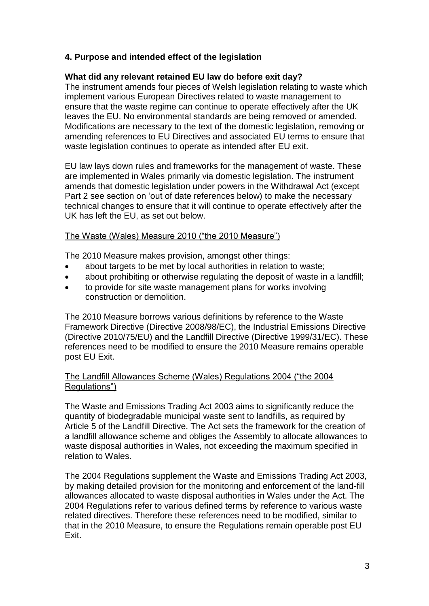#### **4. Purpose and intended effect of the legislation**

#### **What did any relevant retained EU law do before exit day?**

The instrument amends four pieces of Welsh legislation relating to waste which implement various European Directives related to waste management to ensure that the waste regime can continue to operate effectively after the UK leaves the EU. No environmental standards are being removed or amended. Modifications are necessary to the text of the domestic legislation, removing or amending references to EU Directives and associated EU terms to ensure that waste legislation continues to operate as intended after EU exit.

EU law lays down rules and frameworks for the management of waste. These are implemented in Wales primarily via domestic legislation. The instrument amends that domestic legislation under powers in the Withdrawal Act (except Part 2 see section on 'out of date references below) to make the necessary technical changes to ensure that it will continue to operate effectively after the UK has left the EU, as set out below.

#### The Waste (Wales) Measure 2010 ("the 2010 Measure")

The 2010 Measure makes provision, amongst other things:

- about targets to be met by local authorities in relation to waste;
- about prohibiting or otherwise regulating the deposit of waste in a landfill;
- to provide for site waste management plans for works involving construction or demolition.

The 2010 Measure borrows various definitions by reference to the Waste Framework Directive (Directive 2008/98/EC), the Industrial Emissions Directive (Directive 2010/75/EU) and the Landfill Directive (Directive 1999/31/EC). These references need to be modified to ensure the 2010 Measure remains operable post EU Exit.

#### The Landfill Allowances Scheme (Wales) Regulations 2004 ("the 2004 Regulations")

The Waste and Emissions Trading Act 2003 aims to significantly reduce the quantity of biodegradable municipal waste sent to landfills, as required by Article 5 of the Landfill Directive. The Act sets the framework for the creation of a landfill allowance scheme and obliges the Assembly to allocate allowances to waste disposal authorities in Wales, not exceeding the maximum specified in relation to Wales.

The 2004 Regulations supplement the Waste and Emissions Trading Act 2003, by making detailed provision for the monitoring and enforcement of the land-fill allowances allocated to waste disposal authorities in Wales under the Act. The 2004 Regulations refer to various defined terms by reference to various waste related directives. Therefore these references need to be modified, similar to that in the 2010 Measure, to ensure the Regulations remain operable post EU Exit.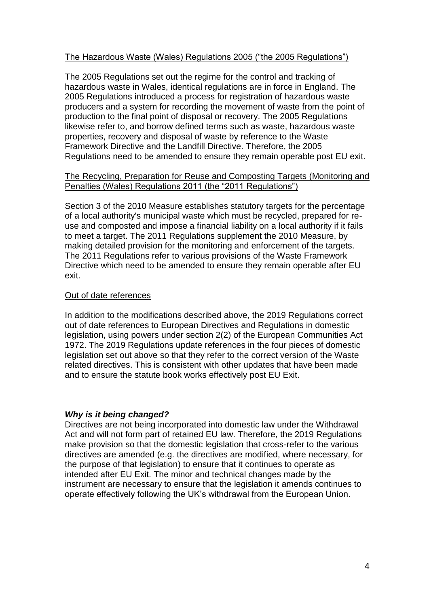#### The Hazardous Waste (Wales) Regulations 2005 ("the 2005 Regulations")

The 2005 Regulations set out the regime for the control and tracking of hazardous waste in Wales, identical regulations are in force in England. The 2005 Regulations introduced a process for registration of hazardous waste producers and a system for recording the movement of waste from the point of production to the final point of disposal or recovery. The 2005 Regulations likewise refer to, and borrow defined terms such as waste, hazardous waste properties, recovery and disposal of waste by reference to the Waste Framework Directive and the Landfill Directive. Therefore, the 2005 Regulations need to be amended to ensure they remain operable post EU exit.

#### The Recycling, Preparation for Reuse and Composting Targets (Monitoring and Penalties (Wales) Regulations 2011 (the "2011 Regulations")

Section 3 of the 2010 Measure establishes statutory targets for the percentage of a local authority's municipal waste which must be recycled, prepared for reuse and composted and impose a financial liability on a local authority if it fails to meet a target. The 2011 Regulations supplement the 2010 Measure, by making detailed provision for the monitoring and enforcement of the targets. The 2011 Regulations refer to various provisions of the Waste Framework Directive which need to be amended to ensure they remain operable after EU exit.

#### Out of date references

In addition to the modifications described above, the 2019 Regulations correct out of date references to European Directives and Regulations in domestic legislation, using powers under section 2(2) of the European Communities Act 1972. The 2019 Regulations update references in the four pieces of domestic legislation set out above so that they refer to the correct version of the Waste related directives. This is consistent with other updates that have been made and to ensure the statute book works effectively post EU Exit.

#### *Why is it being changed?*

Directives are not being incorporated into domestic law under the Withdrawal Act and will not form part of retained EU law. Therefore, the 2019 Regulations make provision so that the domestic legislation that cross-refer to the various directives are amended (e.g. the directives are modified, where necessary, for the purpose of that legislation) to ensure that it continues to operate as intended after EU Exit. The minor and technical changes made by the instrument are necessary to ensure that the legislation it amends continues to operate effectively following the UK's withdrawal from the European Union.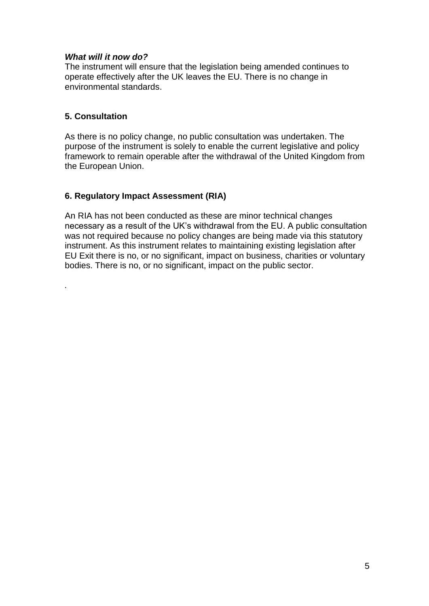#### *What will it now do?*

The instrument will ensure that the legislation being amended continues to operate effectively after the UK leaves the EU. There is no change in environmental standards.

#### **5. Consultation**

*.*

As there is no policy change, no public consultation was undertaken. The purpose of the instrument is solely to enable the current legislative and policy framework to remain operable after the withdrawal of the United Kingdom from the European Union.

#### **6. Regulatory Impact Assessment (RIA)**

An RIA has not been conducted as these are minor technical changes necessary as a result of the UK's withdrawal from the EU. A public consultation was not required because no policy changes are being made via this statutory instrument. As this instrument relates to maintaining existing legislation after EU Exit there is no, or no significant, impact on business, charities or voluntary bodies. There is no, or no significant, impact on the public sector.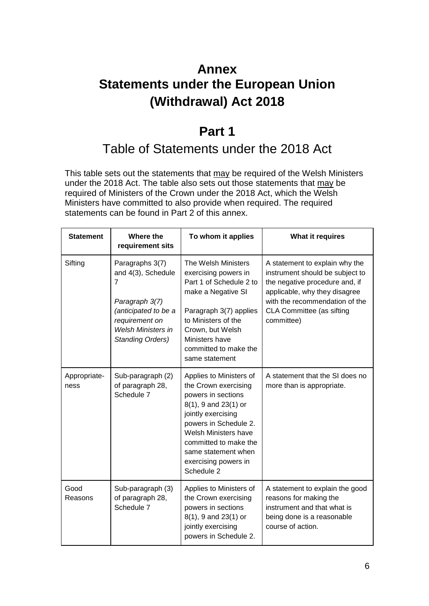# **Annex Statements under the European Union (Withdrawal) Act 2018**

# **Part 1**

# Table of Statements under the 2018 Act

This table sets out the statements that may be required of the Welsh Ministers under the 2018 Act. The table also sets out those statements that may be required of Ministers of the Crown under the 2018 Act, which the Welsh Ministers have committed to also provide when required. The required statements can be found in Part 2 of this annex.

| <b>Statement</b>     | Where the<br>requirement sits                                                                                                                                  | To whom it applies                                                                                                                                                                                                                                         | What it requires                                                                                                                                                                                                  |
|----------------------|----------------------------------------------------------------------------------------------------------------------------------------------------------------|------------------------------------------------------------------------------------------------------------------------------------------------------------------------------------------------------------------------------------------------------------|-------------------------------------------------------------------------------------------------------------------------------------------------------------------------------------------------------------------|
| Sifting              | Paragraphs 3(7)<br>and 4(3), Schedule<br>7<br>Paragraph 3(7)<br>(anticipated to be a<br>requirement on<br><b>Welsh Ministers in</b><br><b>Standing Orders)</b> | The Welsh Ministers<br>exercising powers in<br>Part 1 of Schedule 2 to<br>make a Negative SI<br>Paragraph 3(7) applies<br>to Ministers of the<br>Crown, but Welsh<br>Ministers have<br>committed to make the<br>same statement                             | A statement to explain why the<br>instrument should be subject to<br>the negative procedure and, if<br>applicable, why they disagree<br>with the recommendation of the<br>CLA Committee (as sifting<br>committee) |
| Appropriate-<br>ness | Sub-paragraph (2)<br>of paragraph 28,<br>Schedule 7                                                                                                            | Applies to Ministers of<br>the Crown exercising<br>powers in sections<br>8(1), 9 and 23(1) or<br>jointly exercising<br>powers in Schedule 2.<br>Welsh Ministers have<br>committed to make the<br>same statement when<br>exercising powers in<br>Schedule 2 | A statement that the SI does no<br>more than is appropriate.                                                                                                                                                      |
| Good<br>Reasons      | Sub-paragraph (3)<br>of paragraph 28,<br>Schedule 7                                                                                                            | Applies to Ministers of<br>the Crown exercising<br>powers in sections<br>8(1), 9 and 23(1) or<br>jointly exercising<br>powers in Schedule 2.                                                                                                               | A statement to explain the good<br>reasons for making the<br>instrument and that what is<br>being done is a reasonable<br>course of action.                                                                       |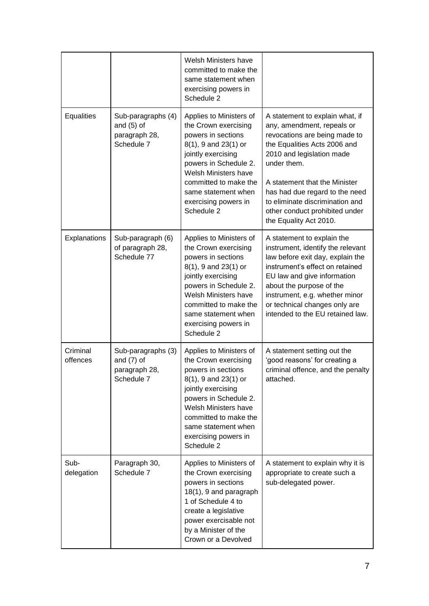|                      |                                                                   | Welsh Ministers have<br>committed to make the<br>same statement when<br>exercising powers in<br>Schedule 2                                                                                                                                                 |                                                                                                                                                                                                                                                                                                                                              |
|----------------------|-------------------------------------------------------------------|------------------------------------------------------------------------------------------------------------------------------------------------------------------------------------------------------------------------------------------------------------|----------------------------------------------------------------------------------------------------------------------------------------------------------------------------------------------------------------------------------------------------------------------------------------------------------------------------------------------|
| Equalities           | Sub-paragraphs (4)<br>and $(5)$ of<br>paragraph 28,<br>Schedule 7 | Applies to Ministers of<br>the Crown exercising<br>powers in sections<br>8(1), 9 and 23(1) or<br>jointly exercising<br>powers in Schedule 2.<br>Welsh Ministers have<br>committed to make the<br>same statement when<br>exercising powers in<br>Schedule 2 | A statement to explain what, if<br>any, amendment, repeals or<br>revocations are being made to<br>the Equalities Acts 2006 and<br>2010 and legislation made<br>under them.<br>A statement that the Minister<br>has had due regard to the need<br>to eliminate discrimination and<br>other conduct prohibited under<br>the Equality Act 2010. |
| Explanations         | Sub-paragraph (6)<br>of paragraph 28,<br>Schedule 77              | Applies to Ministers of<br>the Crown exercising<br>powers in sections<br>8(1), 9 and 23(1) or<br>jointly exercising<br>powers in Schedule 2.<br>Welsh Ministers have<br>committed to make the<br>same statement when<br>exercising powers in<br>Schedule 2 | A statement to explain the<br>instrument, identify the relevant<br>law before exit day, explain the<br>instrument's effect on retained<br>EU law and give information<br>about the purpose of the<br>instrument, e.g. whether minor<br>or technical changes only are<br>intended to the EU retained law.                                     |
| Criminal<br>offences | Sub-paragraphs (3)<br>and $(7)$ of<br>paragraph 28,<br>Schedule 7 | Applies to Ministers of<br>the Crown exercising<br>powers in sections<br>8(1), 9 and 23(1) or<br>jointly exercising<br>powers in Schedule 2.<br>Welsh Ministers have<br>committed to make the<br>same statement when<br>exercising powers in<br>Schedule 2 | A statement setting out the<br>'good reasons' for creating a<br>criminal offence, and the penalty<br>attached.                                                                                                                                                                                                                               |
| Sub-<br>delegation   | Paragraph 30,<br>Schedule 7                                       | Applies to Ministers of<br>the Crown exercising<br>powers in sections<br>18(1), 9 and paragraph<br>1 of Schedule 4 to<br>create a legislative<br>power exercisable not<br>by a Minister of the<br>Crown or a Devolved                                      | A statement to explain why it is<br>appropriate to create such a<br>sub-delegated power.                                                                                                                                                                                                                                                     |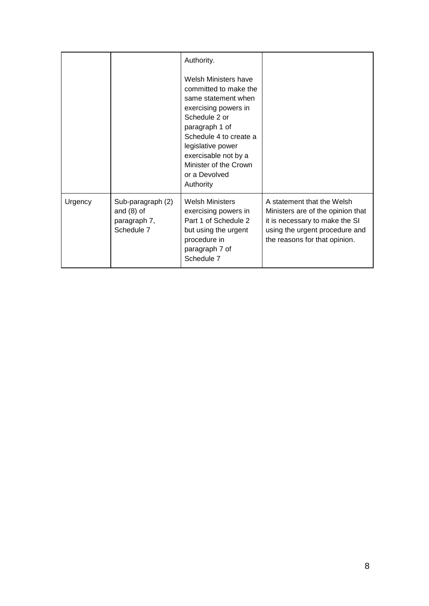|         |                                                                 | Authority.<br>Welsh Ministers have<br>committed to make the<br>same statement when<br>exercising powers in<br>Schedule 2 or<br>paragraph 1 of<br>Schedule 4 to create a<br>legislative power<br>exercisable not by a<br>Minister of the Crown<br>or a Devolved<br>Authority |                                                                                                                                                                      |
|---------|-----------------------------------------------------------------|-----------------------------------------------------------------------------------------------------------------------------------------------------------------------------------------------------------------------------------------------------------------------------|----------------------------------------------------------------------------------------------------------------------------------------------------------------------|
| Urgency | Sub-paragraph (2)<br>and $(8)$ of<br>paragraph 7,<br>Schedule 7 | <b>Welsh Ministers</b><br>exercising powers in<br>Part 1 of Schedule 2<br>but using the urgent<br>procedure in<br>paragraph 7 of<br>Schedule 7                                                                                                                              | A statement that the Welsh<br>Ministers are of the opinion that<br>it is necessary to make the SI<br>using the urgent procedure and<br>the reasons for that opinion. |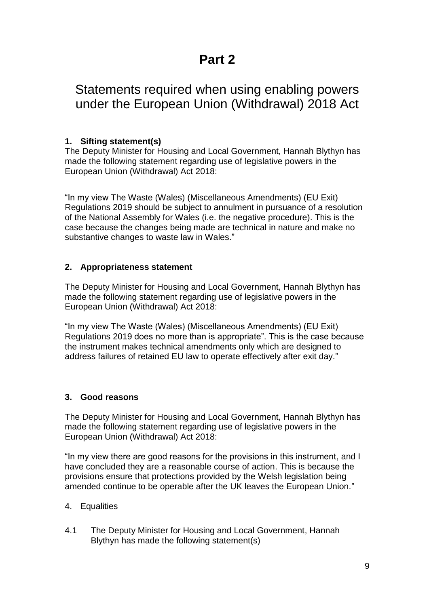# **Part 2**

# Statements required when using enabling powers under the European Union (Withdrawal) 2018 Act

## **1. Sifting statement(s)**

The Deputy Minister for Housing and Local Government, Hannah Blythyn has made the following statement regarding use of legislative powers in the European Union (Withdrawal) Act 2018:

"In my view The Waste (Wales) (Miscellaneous Amendments) (EU Exit) Regulations 2019 should be subject to annulment in pursuance of a resolution of the National Assembly for Wales (i.e. the negative procedure). This is the case because the changes being made are technical in nature and make no substantive changes to waste law in Wales."

#### **2. Appropriateness statement**

The Deputy Minister for Housing and Local Government, Hannah Blythyn has made the following statement regarding use of legislative powers in the European Union (Withdrawal) Act 2018:

"In my view The Waste (Wales) (Miscellaneous Amendments) (EU Exit) Regulations 2019 does no more than is appropriate". This is the case because the instrument makes technical amendments only which are designed to address failures of retained EU law to operate effectively after exit day."

#### **3. Good reasons**

The Deputy Minister for Housing and Local Government, Hannah Blythyn has made the following statement regarding use of legislative powers in the European Union (Withdrawal) Act 2018:

"In my view there are good reasons for the provisions in this instrument, and I have concluded they are a reasonable course of action. This is because the provisions ensure that protections provided by the Welsh legislation being amended continue to be operable after the UK leaves the European Union."

- 4. Equalities
- 4.1 The Deputy Minister for Housing and Local Government, Hannah Blythyn has made the following statement(s)